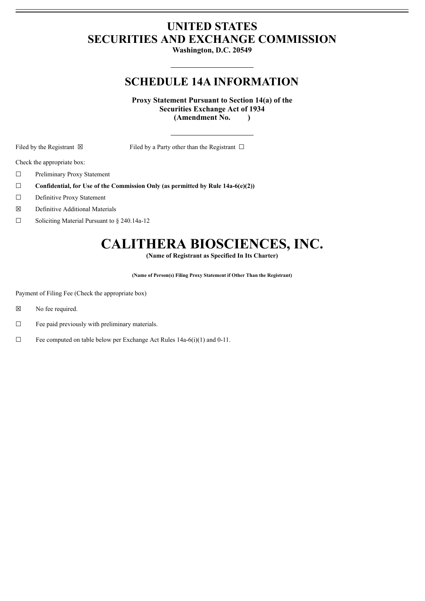## **UNITED STATES SECURITIES AND EXCHANGE COMMISSION**

**Washington, D.C. 20549**

## **SCHEDULE 14A INFORMATION**

**Proxy Statement Pursuant to Section 14(a) of the Securities Exchange Act of 1934 (Amendment No. )**

Filed by the Registrant  $\boxtimes$  Filed by a Party other than the Registrant  $\Box$ 

Check the appropriate box:

- ☐ Preliminary Proxy Statement
- ☐ **Confidential, for Use of the Commission Only (as permitted by Rule 14a-6(e)(2))**
- ☐ Definitive Proxy Statement
- ☒ Definitive Additional Materials
- ☐ Soliciting Material Pursuant to § 240.14a-12

# **CALITHERA BIOSCIENCES, INC.**

**(Name of Registrant as Specified In Its Charter)**

**(Name of Person(s) Filing Proxy Statement if Other Than the Registrant)**

Payment of Filing Fee (Check the appropriate box)

- ☒ No fee required.
- $\Box$  Fee paid previously with preliminary materials.
- $\Box$  Fee computed on table below per Exchange Act Rules 14a-6(i)(1) and 0-11.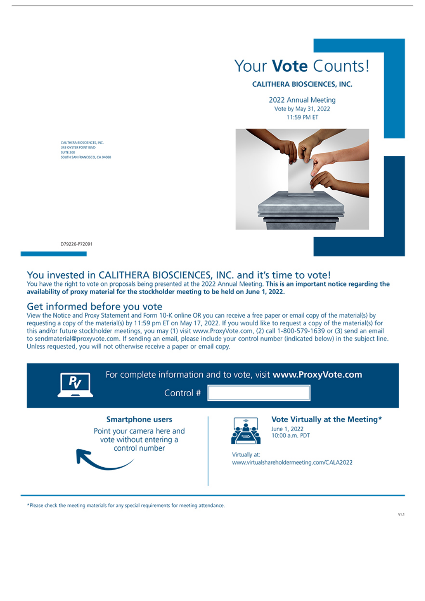

#### **CALITHERA BIOSCIENCES, INC.**

2022 Annual Meeting Vote by May 31, 2022 11:59 PM ET



D79226-P72091

CAUTHERA BIOSCIENCES, INC. 343 OYSTER POINT RIVE **SUITE 200** 

SOUTH SAN FRANCISCO, CA 94080

### You invested in CALITHERA BIOSCIENCES, INC. and it's time to vote!

You have the right to vote on proposals being presented at the 2022 Annual Meeting. This is an important notice regarding the availability of proxy material for the stockholder meeting to be held on June 1, 2022.

#### Get informed before you vote

View the Notice and Proxy Statement and Form 10-K online OR you can receive a free paper or email copy of the material(s) by requesting a copy of the material(s) by 11:59 pm ET on May 17, 2022. If you would like to request a copy of the material(s) for this and/or future stockholder meetings, you may (1) visit www.ProxyVote.com, (2) call 1-800-579-1639 or (3) send an email to sendmaterial@proxyvote.com. If sending an email, please include your control number (indicated below) in the subject line. Unless requested, you will not otherwise receive a paper or email copy.



\*Please check the meeting materials for any special requirements for meeting attendance.